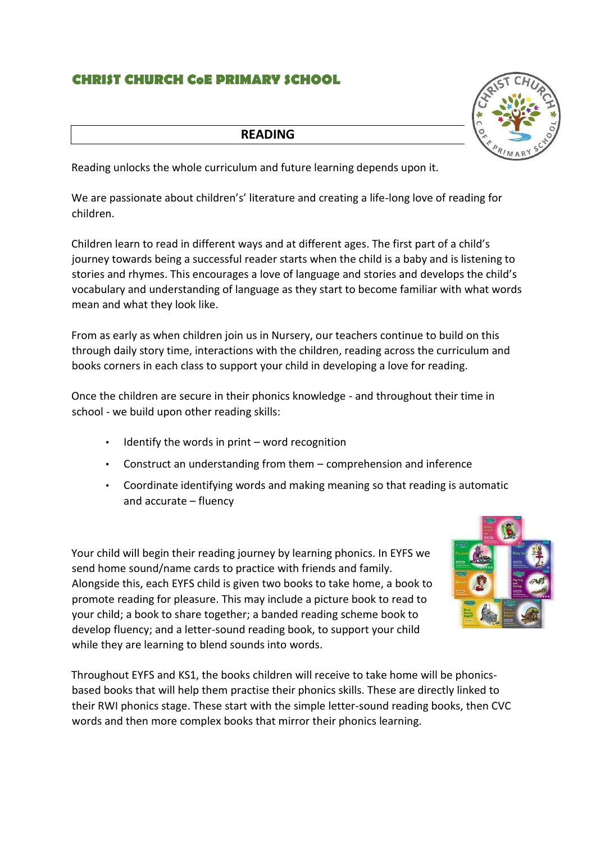## **CHRIST CHURCH CoE PRIMARY SCHOOL**

## **READING**

Reading unlocks the whole curriculum and future learning depends upon it.

We are passionate about children's' literature and creating a life-long love of reading for children.

Children learn to read in different ways and at different ages. The first part of a child's journey towards being a successful reader starts when the child is a baby and is listening to stories and rhymes. This encourages a love of language and stories and develops the child's vocabulary and understanding of language as they start to become familiar with what words mean and what they look like.

From as early as when children join us in Nursery, our teachers continue to build on this through daily story time, interactions with the children, reading across the curriculum and books corners in each class to support your child in developing a love for reading.

Once the children are secure in their phonics knowledge - and throughout their time in school - we build upon other reading skills:

- Identify the words in print word recognition
- Construct an understanding from them comprehension and inference
- Coordinate identifying words and making meaning so that reading is automatic and accurate – fluency

Your child will begin their reading journey by learning phonics. In EYFS we send home sound/name cards to practice with friends and family. Alongside this, each EYFS child is given two books to take home, a book to promote reading for pleasure. This may include a picture book to read to your child; a book to share together; a banded reading scheme book to develop fluency; and a letter-sound reading book, to support your child while they are learning to blend sounds into words.



Throughout EYFS and KS1, the books children will receive to take home will be phonicsbased books that will help them practise their phonics skills. These are directly linked to their RWI phonics stage. These start with the simple letter-sound reading books, then CVC words and then more complex books that mirror their phonics learning.